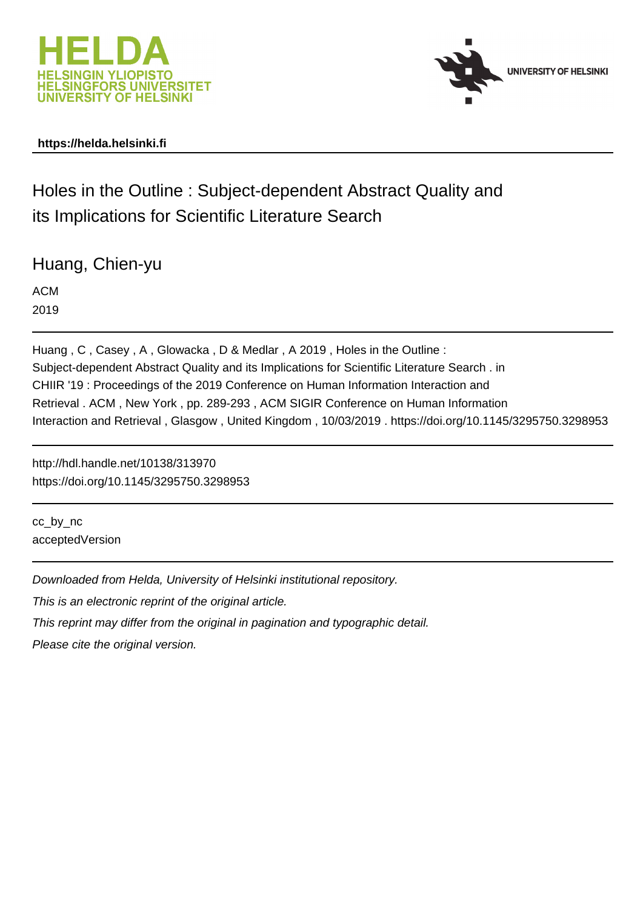



### **https://helda.helsinki.fi**

# Holes in the Outline : Subject-dependent Abstract Quality and its Implications for Scientific Literature Search

Huang, Chien-yu

ACM 2019

Huang , C , Casey , A , Glowacka , D & Medlar , A 2019 , Holes in the Outline : Subject-dependent Abstract Quality and its Implications for Scientific Literature Search . in CHIIR '19 : Proceedings of the 2019 Conference on Human Information Interaction and Retrieval . ACM , New York , pp. 289-293 , ACM SIGIR Conference on Human Information Interaction and Retrieval , Glasgow , United Kingdom , 10/03/2019 . https://doi.org/10.1145/3295750.3298953

http://hdl.handle.net/10138/313970 https://doi.org/10.1145/3295750.3298953

cc\_by\_nc acceptedVersion

Downloaded from Helda, University of Helsinki institutional repository.

This is an electronic reprint of the original article.

This reprint may differ from the original in pagination and typographic detail.

Please cite the original version.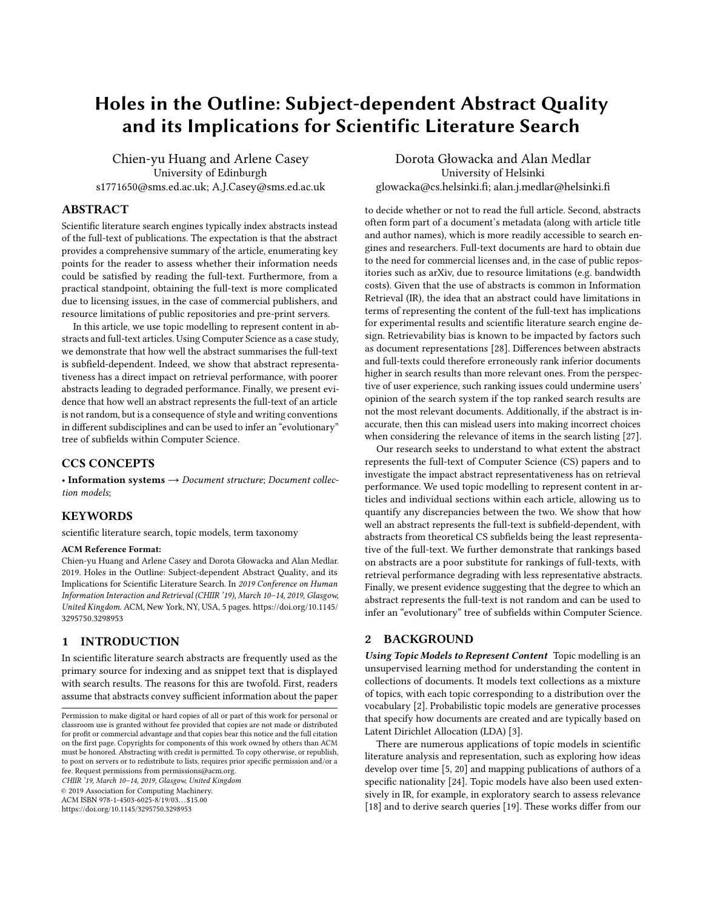## Holes in the Outline: Subject-dependent Abstract Quality and its Implications for Scientific Literature Search

Chien-yu Huang and Arlene Casey University of Edinburgh s1771650@sms.ed.ac.uk; A.J.Casey@sms.ed.ac.uk

#### ABSTRACT

Scientific literature search engines typically index abstracts instead of the full-text of publications. The expectation is that the abstract provides a comprehensive summary of the article, enumerating key points for the reader to assess whether their information needs could be satisfied by reading the full-text. Furthermore, from a practical standpoint, obtaining the full-text is more complicated due to licensing issues, in the case of commercial publishers, and resource limitations of public repositories and pre-print servers.

In this article, we use topic modelling to represent content in abstracts and full-text articles. Using Computer Science as a case study, we demonstrate that how well the abstract summarises the full-text is subfield-dependent. Indeed, we show that abstract representativeness has a direct impact on retrieval performance, with poorer abstracts leading to degraded performance. Finally, we present evidence that how well an abstract represents the full-text of an article is not random, but is a consequence of style and writing conventions in different subdisciplines and can be used to infer an "evolutionary" tree of subfields within Computer Science.

#### CCS CONCEPTS

• Information systems  $\rightarrow$  Document structure; Document collection models;

#### **KEYWORDS**

scientific literature search, topic models, term taxonomy

#### ACM Reference Format:

Chien-yu Huang and Arlene Casey and Dorota Głowacka and Alan Medlar. 2019. Holes in the Outline: Subject-dependent Abstract Quality, and its Implications for Scientific Literature Search. In 2019 Conference on Human Information Interaction and Retrieval (CHIIR '19), March 10–14, 2019, Glasgow, United Kingdom. ACM, New York, NY, USA, 5 pages. [https://doi.org/10.1145/](https://doi.org/10.1145/3295750.3298953) [3295750.3298953](https://doi.org/10.1145/3295750.3298953)

#### 1 INTRODUCTION

In scientific literature search abstracts are frequently used as the primary source for indexing and as snippet text that is displayed with search results. The reasons for this are twofold. First, readers assume that abstracts convey sufficient information about the paper

CHIIR '19, March 10–14, 2019, Glasgow, United Kingdom

© 2019 Association for Computing Machinery.

ACM ISBN 978-1-4503-6025-8/19/03. . . \$15.00

<https://doi.org/10.1145/3295750.3298953>

Dorota Głowacka and Alan Medlar University of Helsinki glowacka@cs.helsinki.fi; alan.j.medlar@helsinki.fi

to decide whether or not to read the full article. Second, abstracts often form part of a document's metadata (along with article title and author names), which is more readily accessible to search engines and researchers. Full-text documents are hard to obtain due to the need for commercial licenses and, in the case of public repositories such as arXiv, due to resource limitations (e.g. bandwidth costs). Given that the use of abstracts is common in Information Retrieval (IR), the idea that an abstract could have limitations in terms of representing the content of the full-text has implications for experimental results and scientific literature search engine design. Retrievability bias is known to be impacted by factors such as document representations [28]. Differences between abstracts and full-texts could therefore erroneously rank inferior documents higher in search results than more relevant ones. From the perspective of user experience, such ranking issues could undermine users' opinion of the search system if the top ranked search results are not the most relevant documents. Additionally, if the abstract is inaccurate, then this can mislead users into making incorrect choices when considering the relevance of items in the search listing [27].

Our research seeks to understand to what extent the abstract represents the full-text of Computer Science (CS) papers and to investigate the impact abstract representativeness has on retrieval performance. We used topic modelling to represent content in articles and individual sections within each article, allowing us to quantify any discrepancies between the two. We show that how well an abstract represents the full-text is subfield-dependent, with abstracts from theoretical CS subfields being the least representative of the full-text. We further demonstrate that rankings based on abstracts are a poor substitute for rankings of full-texts, with retrieval performance degrading with less representative abstracts. Finally, we present evidence suggesting that the degree to which an abstract represents the full-text is not random and can be used to infer an "evolutionary" tree of subfields within Computer Science.

#### 2 BACKGROUND

Using Topic Models to Represent Content Topic modelling is an unsupervised learning method for understanding the content in collections of documents. It models text collections as a mixture of topics, with each topic corresponding to a distribution over the vocabulary [2]. Probabilistic topic models are generative processes that specify how documents are created and are typically based on Latent Dirichlet Allocation (LDA) [3].

There are numerous applications of topic models in scientific literature analysis and representation, such as exploring how ideas develop over time [5, 20] and mapping publications of authors of a specific nationality [24]. Topic models have also been used extensively in IR, for example, in exploratory search to assess relevance [18] and to derive search queries [19]. These works differ from our

Permission to make digital or hard copies of all or part of this work for personal or classroom use is granted without fee provided that copies are not made or distributed for profit or commercial advantage and that copies bear this notice and the full citation on the first page. Copyrights for components of this work owned by others than ACM must be honored. Abstracting with credit is permitted. To copy otherwise, or republish, to post on servers or to redistribute to lists, requires prior specific permission and/or a fee. Request permissions from permissions@acm.org.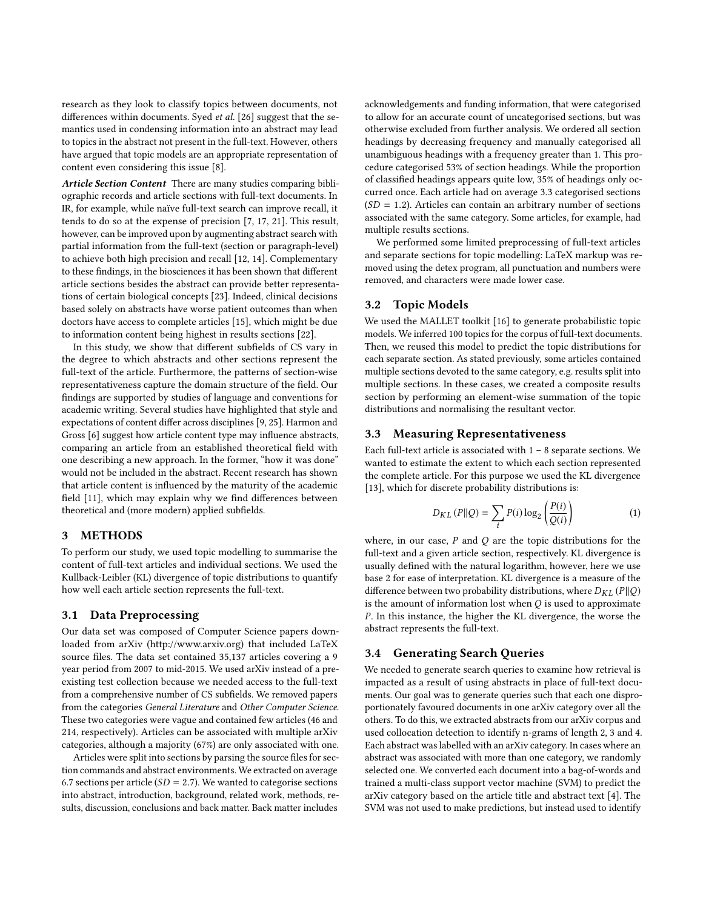research as they look to classify topics between documents, not differences within documents. Syed et al. [26] suggest that the semantics used in condensing information into an abstract may lead to topics in the abstract not present in the full-text. However, others have argued that topic models are an appropriate representation of content even considering this issue [8].

Article Section Content There are many studies comparing bibliographic records and article sections with full-text documents. In IR, for example, while naïve full-text search can improve recall, it tends to do so at the expense of precision [7, 17, 21]. This result, however, can be improved upon by augmenting abstract search with partial information from the full-text (section or paragraph-level) to achieve both high precision and recall [12, 14]. Complementary to these findings, in the biosciences it has been shown that different article sections besides the abstract can provide better representations of certain biological concepts [23]. Indeed, clinical decisions based solely on abstracts have worse patient outcomes than when doctors have access to complete articles [15], which might be due to information content being highest in results sections [22].

In this study, we show that different subfields of CS vary in the degree to which abstracts and other sections represent the full-text of the article. Furthermore, the patterns of section-wise representativeness capture the domain structure of the field. Our findings are supported by studies of language and conventions for academic writing. Several studies have highlighted that style and expectations of content differ across disciplines [9, 25]. Harmon and Gross [6] suggest how article content type may influence abstracts, comparing an article from an established theoretical field with one describing a new approach. In the former, "how it was done" would not be included in the abstract. Recent research has shown that article content is influenced by the maturity of the academic field [11], which may explain why we find differences between theoretical and (more modern) applied subfields.

#### 3 METHODS

To perform our study, we used topic modelling to summarise the content of full-text articles and individual sections. We used the Kullback-Leibler (KL) divergence of topic distributions to quantify how well each article section represents the full-text.

#### 3.1 Data Preprocessing

Our data set was composed of Computer Science papers downloaded from arXiv [\(http://www.arxiv.org\)](http://www.arxiv.org) that included LaTeX source files. The data set contained 35,137 articles covering a 9 year period from 2007 to mid-2015. We used arXiv instead of a preexisting test collection because we needed access to the full-text from a comprehensive number of CS subfields. We removed papers from the categories General Literature and Other Computer Science. These two categories were vague and contained few articles (46 and 214, respectively). Articles can be associated with multiple arXiv categories, although a majority (67%) are only associated with one.

Articles were split into sections by parsing the source files for section commands and abstract environments. We extracted on average 6.7 sections per article ( $SD = 2.7$ ). We wanted to categorise sections into abstract, introduction, background, related work, methods, results, discussion, conclusions and back matter. Back matter includes

acknowledgements and funding information, that were categorised to allow for an accurate count of uncategorised sections, but was otherwise excluded from further analysis. We ordered all section headings by decreasing frequency and manually categorised all unambiguous headings with a frequency greater than 1. This procedure categorised 53% of section headings. While the proportion of classified headings appears quite low, 35% of headings only occurred once. Each article had on average 3.3 categorised sections  $(SD = 1.2)$ . Articles can contain an arbitrary number of sections associated with the same category. Some articles, for example, had multiple results sections.

We performed some limited preprocessing of full-text articles and separate sections for topic modelling: LaTeX markup was removed using the detex program, all punctuation and numbers were removed, and characters were made lower case.

#### 3.2 Topic Models

We used the MALLET toolkit [16] to generate probabilistic topic models. We inferred 100 topics for the corpus of full-text documents. Then, we reused this model to predict the topic distributions for each separate section. As stated previously, some articles contained multiple sections devoted to the same category, e.g. results split into multiple sections. In these cases, we created a composite results section by performing an element-wise summation of the topic distributions and normalising the resultant vector.

#### 3.3 Measuring Representativeness

Each full-text article is associated with  $1 - 8$  separate sections. We wanted to estimate the extent to which each section represented the complete article. For this purpose we used the KL divergence [13], which for discrete probability distributions is:

$$
D_{KL}(P||Q) = \sum_{i} P(i) \log_2 \left(\frac{P(i)}{Q(i)}\right) \tag{1}
$$

where, in our case,  $P$  and  $Q$  are the topic distributions for the full-text and a given article section, respectively. KL divergence is usually defined with the natural logarithm, however, here we use base 2 for ease of interpretation. KL divergence is a measure of the difference between two probability distributions, where  $D_{KL}(P||Q)$ is the amount of information lost when  $Q$  is used to approximate P. In this instance, the higher the KL divergence, the worse the abstract represents the full-text.

#### 3.4 Generating Search Queries

We needed to generate search queries to examine how retrieval is impacted as a result of using abstracts in place of full-text documents. Our goal was to generate queries such that each one disproportionately favoured documents in one arXiv category over all the others. To do this, we extracted abstracts from our arXiv corpus and used collocation detection to identify n-grams of length 2, 3 and 4. Each abstract was labelled with an arXiv category. In cases where an abstract was associated with more than one category, we randomly selected one. We converted each document into a bag-of-words and trained a multi-class support vector machine (SVM) to predict the arXiv category based on the article title and abstract text [4]. The SVM was not used to make predictions, but instead used to identify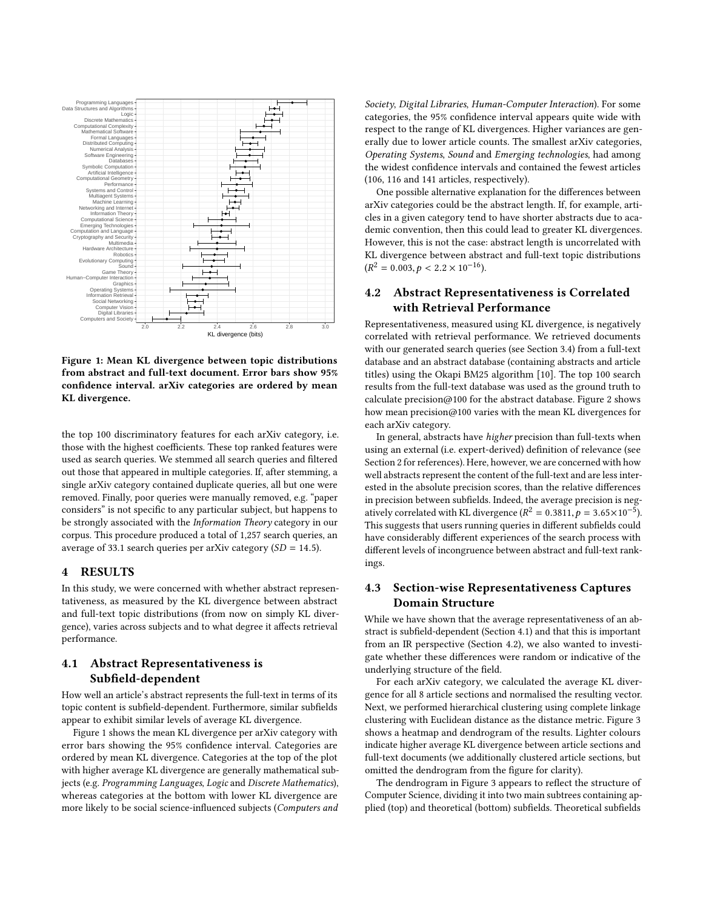

Figure 1: Mean KL divergence between topic distributions from abstract and full-text document. Error bars show 95% confidence interval. arXiv categories are ordered by mean KL divergence.

the top 100 discriminatory features for each arXiv category, i.e. those with the highest coefficients. These top ranked features were used as search queries. We stemmed all search queries and filtered out those that appeared in multiple categories. If, after stemming, a single arXiv category contained duplicate queries, all but one were removed. Finally, poor queries were manually removed, e.g. "paper considers" is not specific to any particular subject, but happens to be strongly associated with the Information Theory category in our corpus. This procedure produced a total of 1,257 search queries, an average of 33.1 search queries per arXiv category  $(SD = 14.5)$ .

#### 4 RESULTS

In this study, we were concerned with whether abstract representativeness, as measured by the KL divergence between abstract and full-text topic distributions (from now on simply KL divergence), varies across subjects and to what degree it affects retrieval performance.

#### 4.1 Abstract Representativeness is Subfield-dependent

How well an article's abstract represents the full-text in terms of its topic content is subfield-dependent. Furthermore, similar subfields appear to exhibit similar levels of average KL divergence.

Figure 1 shows the mean KL divergence per arXiv category with error bars showing the 95% confidence interval. Categories are ordered by mean KL divergence. Categories at the top of the plot with higher average KL divergence are generally mathematical subjects (e.g. Programming Languages, Logic and Discrete Mathematics), whereas categories at the bottom with lower KL divergence are more likely to be social science-influenced subjects (Computers and

Society, Digital Libraries, Human-Computer Interaction). For some categories, the 95% confidence interval appears quite wide with respect to the range of KL divergences. Higher variances are generally due to lower article counts. The smallest arXiv categories, Operating Systems, Sound and Emerging technologies, had among the widest confidence intervals and contained the fewest articles (106, 116 and 141 articles, respectively).

One possible alternative explanation for the differences between arXiv categories could be the abstract length. If, for example, articles in a given category tend to have shorter abstracts due to academic convention, then this could lead to greater KL divergences. However, this is not the case: abstract length is uncorrelated with KL divergence between abstract and full-text topic distributions  $(R^2 = 0.003, p < 2.2 \times 10^{-16}).$ 

#### 4.2 Abstract Representativeness is Correlated with Retrieval Performance

Representativeness, measured using KL divergence, is negatively correlated with retrieval performance. We retrieved documents with our generated search queries (see Section 3.4) from a full-text database and an abstract database (containing abstracts and article titles) using the Okapi BM25 algorithm [10]. The top 100 search results from the full-text database was used as the ground truth to calculate precision@100 for the abstract database. Figure 2 shows how mean precision@100 varies with the mean KL divergences for each arXiv category.

In general, abstracts have higher precision than full-texts when using an external (i.e. expert-derived) definition of relevance (see Section 2 for references). Here, however, we are concerned with how well abstracts represent the content of the full-text and are less interested in the absolute precision scores, than the relative differences in precision between subfields. Indeed, the average precision is negatively correlated with KL divergence  $(R^2 = 0.3811, p = 3.65 \times 10^{-5})$ .<br>This suggests that users running queries in different subfields could This suggests that users running queries in different subfields could have considerably different experiences of the search process with different levels of incongruence between abstract and full-text rankings.

#### 4.3 Section-wise Representativeness Captures Domain Structure

While we have shown that the average representativeness of an abstract is subfield-dependent (Section 4.1) and that this is important from an IR perspective (Section 4.2), we also wanted to investigate whether these differences were random or indicative of the underlying structure of the field.

For each arXiv category, we calculated the average KL divergence for all 8 article sections and normalised the resulting vector. Next, we performed hierarchical clustering using complete linkage clustering with Euclidean distance as the distance metric. Figure 3 shows a heatmap and dendrogram of the results. Lighter colours indicate higher average KL divergence between article sections and full-text documents (we additionally clustered article sections, but omitted the dendrogram from the figure for clarity).

The dendrogram in Figure 3 appears to reflect the structure of Computer Science, dividing it into two main subtrees containing applied (top) and theoretical (bottom) subfields. Theoretical subfields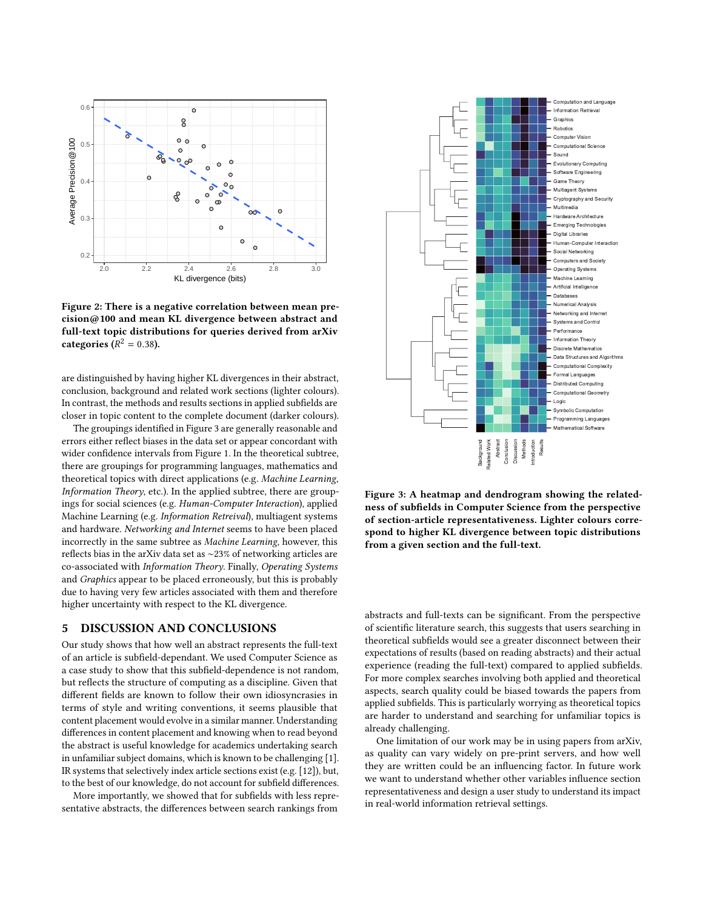

Figure 2: There is a negative correlation between mean precision@100 and mean KL divergence between abstract and full-text topic distributions for queries derived from arXiv categories  $(R^2 = 0.38)$ .

are distinguished by having higher KL divergences in their abstract, conclusion, background and related work sections (lighter colours). In contrast, the methods and results sections in applied subfields are closer in topic content to the complete document (darker colours).

The groupings identified in Figure 3 are generally reasonable and errors either reflect biases in the data set or appear concordant with wider confidence intervals from Figure 1. In the theoretical subtree, there are groupings for programming languages, mathematics and theoretical topics with direct applications (e.g. Machine Learning, Information Theory, etc.). In the applied subtree, there are groupings for social sciences (e.g. Human-Computer Interaction), applied Machine Learning (e.g. Information Retreival), multiagent systems and hardware. Networking and Internet seems to have been placed incorrectly in the same subtree as Machine Learning, however, this reflects bias in the arXiv data set as ∼23% of networking articles are co-associated with Information Theory. Finally, Operating Systems and Graphics appear to be placed erroneously, but this is probably due to having very few articles associated with them and therefore higher uncertainty with respect to the KL divergence.

#### 5 DISCUSSION AND CONCLUSIONS

Our study shows that how well an abstract represents the full-text of an article is subfield-dependant. We used Computer Science as a case study to show that this subfield-dependence is not random, but reflects the structure of computing as a discipline. Given that different fields are known to follow their own idiosyncrasies in terms of style and writing conventions, it seems plausible that content placement would evolve in a similar manner. Understanding differences in content placement and knowing when to read beyond the abstract is useful knowledge for academics undertaking search in unfamiliar subject domains, which is known to be challenging [1]. IR systems that selectively index article sections exist (e.g. [12]), but, to the best of our knowledge, do not account for subfield differences.

More importantly, we showed that for subfields with less representative abstracts, the differences between search rankings from



Figure 3: A heatmap and dendrogram showing the relatedness of subfields in Computer Science from the perspective of section-article representativeness. Lighter colours correspond to higher KL divergence between topic distributions from a given section and the full-text.

abstracts and full-texts can be significant. From the perspective of scientific literature search, this suggests that users searching in theoretical subfields would see a greater disconnect between their expectations of results (based on reading abstracts) and their actual experience (reading the full-text) compared to applied subfields. For more complex searches involving both applied and theoretical aspects, search quality could be biased towards the papers from applied subfields. This is particularly worrying as theoretical topics are harder to understand and searching for unfamiliar topics is already challenging.

One limitation of our work may be in using papers from arXiv, as quality can vary widely on pre-print servers, and how well they are written could be an influencing factor. In future work we want to understand whether other variables influence section representativeness and design a user study to understand its impact in real-world information retrieval settings.